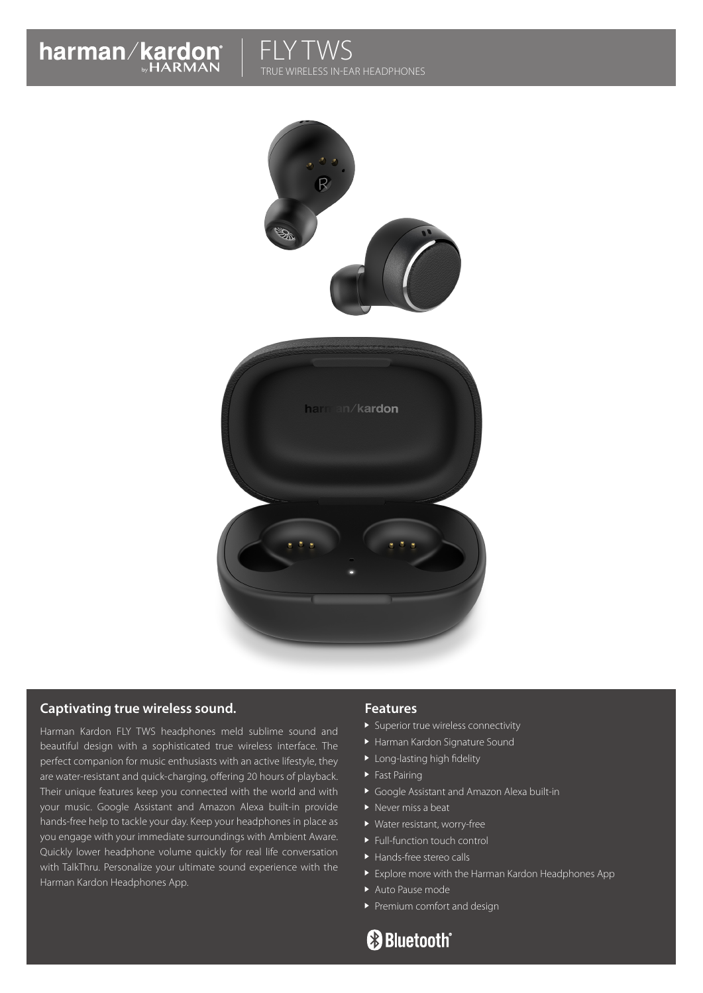# harman/kardon

## **FLY TWS** TRUE WIRELESS IN-EAR HEADPHONES



#### **Captivating true wireless sound.**

Harman Kardon FLY TWS headphones meld sublime sound and beautiful design with a sophisticated true wireless interface. The perfect companion for music enthusiasts with an active lifestyle, they are water-resistant and quick-charging, offering 20 hours of playback. Their unique features keep you connected with the world and with your music. Google Assistant and Amazon Alexa built-in provide hands-free help to tackle your day. Keep your headphones in place as you engage with your immediate surroundings with Ambient Aware. Quickly lower headphone volume quickly for real life conversation with TalkThru. Personalize your ultimate sound experience with the Harman Kardon Headphones App.

#### **Features**

- **Superior true wireless connectivity**
- Harman Kardon Signature Sound
- ▶ Long-lasting high fidelity
- $\blacktriangleright$  Fast Pairing
- Google Assistant and Amazon Alexa built-in
- $\blacktriangleright$  Never miss a beat
- Water resistant, worry-free
- ▶ Full-function touch control
- ▶ Hands-free stereo calls
- Explore more with the Harman Kardon Headphones App
- Auto Pause mode
- Premium comfort and design